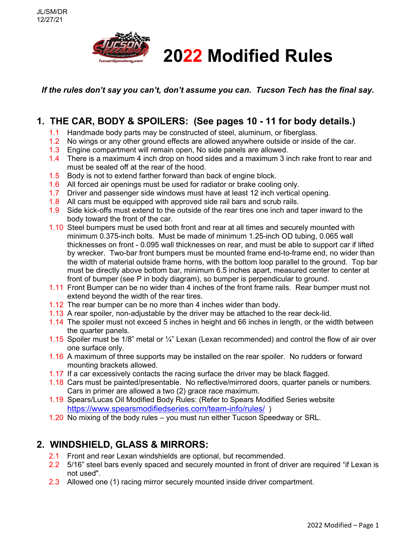

*If the rules don't say you can't, don't assume you can. Tucson Tech has the final say.*

# **1. THE CAR, BODY & SPOILERS: (See pages 10 - 11 for body details.)**

- 1.1 Handmade body parts may be constructed of steel, aluminum, or fiberglass.
- 1.2 No wings or any other ground effects are allowed anywhere outside or inside of the car.
- 1.3 Engine compartment will remain open, No side panels are allowed.
- 1.4 There is a maximum 4 inch drop on hood sides and a maximum 3 inch rake front to rear and must be sealed off at the rear of the hood.
- 1.5 Body is not to extend farther forward than back of engine block.
- 1.6 All forced air openings must be used for radiator or brake cooling only.
- 1.7 Driver and passenger side windows must have at least 12 inch vertical opening.
- 1.8 All cars must be equipped with approved side rail bars and scrub rails.
- 1.9 Side kick-offs must extend to the outside of the rear tires one inch and taper inward to the body toward the front of the car.
- 1.10 Steel bumpers must be used both front and rear at all times and securely mounted with minimum 0.375-inch bolts. Must be made of minimum 1.25-inch OD tubing, 0.065 wall thicknesses on front - 0.095 wall thicknesses on rear, and must be able to support car if lifted by wrecker. Two-bar front bumpers must be mounted frame end-to-frame end, no wider than the width of material outside frame horns, with the bottom loop parallel to the ground. Top bar must be directly above bottom bar, minimum 6.5 inches apart, measured center to center at front of bumper (see P in body diagram), so bumper is perpendicular to ground.
- 1.11 Front Bumper can be no wider than 4 inches of the front frame rails. Rear bumper must not extend beyond the width of the rear tires.
- 1.12 The rear bumper can be no more than 4 inches wider than body.
- 1.13 A rear spoiler, non-adjustable by the driver may be attached to the rear deck-lid.
- 1.14 The spoiler must not exceed 5 inches in height and 66 inches in length, or the width between the quarter panels.
- 1.15 Spoiler must be 1/8" metal or ¼" Lexan (Lexan recommended) and control the flow of air over one surface only.
- 1.16 A maximum of three supports may be installed on the rear spoiler. No rudders or forward mounting brackets allowed.
- 1.17 If a car excessively contacts the racing surface the driver may be black flagged.
- 1.18 Cars must be painted/presentable. No reflective/mirrored doors, quarter panels or numbers. Cars in primer are allowed a two (2) grace race maximum.
- 1.19 Spears/Lucas Oil Modified Body Rules: (Refer to Spears Modified Series website <https://www.spearsmodifiedseries.com/team-info/rules/> )
- 1.20 No mixing of the body rules you must run either Tucson Speedway or SRL.

## **2. WINDSHIELD, GLASS & MIRRORS:**

- 2.1 Front and rear Lexan windshields are optional, but recommended.
- 2.2 5/16" steel bars evenly spaced and securely mounted in front of driver are required "if Lexan is not used".
- 2.3 Allowed one (1) racing mirror securely mounted inside driver compartment.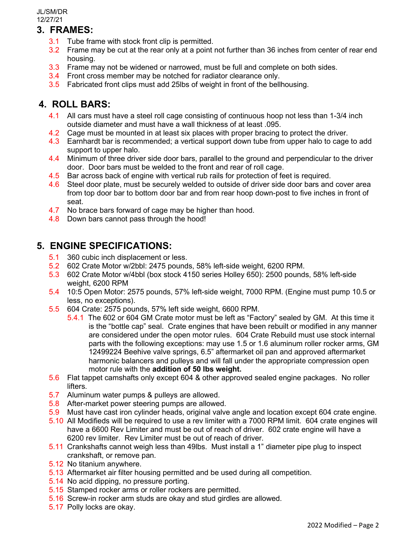## **3. FRAMES:**

- 3.1 Tube frame with stock front clip is permitted.
- 3.2 Frame may be cut at the rear only at a point not further than 36 inches from center of rear end housing.
- 3.3 Frame may not be widened or narrowed, must be full and complete on both sides.
- 3.4 Front cross member may be notched for radiator clearance only.
- 3.5 Fabricated front clips must add 25lbs of weight in front of the bellhousing.

## **4. ROLL BARS:**

- 4.1 All cars must have a steel roll cage consisting of continuous hoop not less than 1-3/4 inch outside diameter and must have a wall thickness of at least .095.
- 4.2 Cage must be mounted in at least six places with proper bracing to protect the driver.
- 4.3 Earnhardt bar is recommended; a vertical support down tube from upper halo to cage to add support to upper halo.
- 4.4 Minimum of three driver side door bars, parallel to the ground and perpendicular to the driver door. Door bars must be welded to the front and rear of roll cage.
- 4.5 Bar across back of engine with vertical rub rails for protection of feet is required.
- 4.6 Steel door plate, must be securely welded to outside of driver side door bars and cover area from top door bar to bottom door bar and from rear hoop down-post to five inches in front of seat.
- 4.7 No brace bars forward of cage may be higher than hood.
- 4.8 Down bars cannot pass through the hood!

## **5. ENGINE SPECIFICATIONS:**

- 5.1 360 cubic inch displacement or less.
- 5.2 602 Crate Motor w/2bbl: 2475 pounds, 58% left-side weight, 6200 RPM.
- 5.3 602 Crate Motor w/4bbl (box stock 4150 series Holley 650): 2500 pounds, 58% left-side weight, 6200 RPM
- 5.4 10:5 Open Motor: 2575 pounds, 57% left-side weight, 7000 RPM. (Engine must pump 10.5 or less, no exceptions).
- 5.5 604 Crate: 2575 pounds, 57% left side weight, 6600 RPM.
	- 5.4.1 The 602 or 604 GM Crate motor must be left as "Factory" sealed by GM. At this time it is the "bottle cap" seal. Crate engines that have been rebuilt or modified in any manner are considered under the open motor rules. 604 Crate Rebuild must use stock internal parts with the following exceptions: may use 1.5 or 1.6 aluminum roller rocker arms, GM 12499224 Beehive valve springs, 6.5" aftermarket oil pan and approved aftermarket harmonic balancers and pulleys and will fall under the appropriate compression open motor rule with the **addition of 50 lbs weight.**
- 5.6 Flat tappet camshafts only except 604 & other approved sealed engine packages. No roller lifters.
- 5.7 Aluminum water pumps & pulleys are allowed.
- 5.8 After-market power steering pumps are allowed.
- 5.9 Must have cast iron cylinder heads, original valve angle and location except 604 crate engine.
- 5.10 All Modifieds will be required to use a rev limiter with a 7000 RPM limit. 604 crate engines will have a 6600 Rev Limiter and must be out of reach of driver. 602 crate engine will have a 6200 rev limiter. Rev Limiter must be out of reach of driver.
- 5.11 Crankshafts cannot weigh less than 49lbs. Must install a 1" diameter pipe plug to inspect crankshaft, or remove pan.
- 5.12 No titanium anywhere.
- 5.13 Aftermarket air filter housing permitted and be used during all competition.
- 5.14 No acid dipping, no pressure porting.
- 5.15 Stamped rocker arms or roller rockers are permitted.
- 5.16 Screw-in rocker arm studs are okay and stud girdles are allowed.
- 5.17 Polly locks are okay.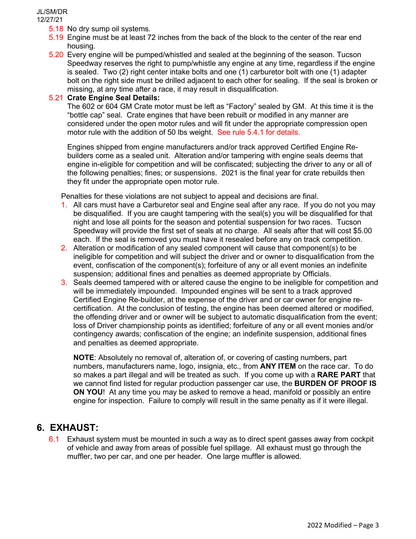- 5.18 No dry sump oil systems.
- 5.19 Engine must be at least 72 inches from the back of the block to the center of the rear end housing.
- 5.20 Every engine will be pumped/whistled and sealed at the beginning of the season. Tucson Speedway reserves the right to pump/whistle any engine at any time, regardless if the engine is sealed. Two (2) right center intake bolts and one (1) carburetor bolt with one (1) adapter bolt on the right side must be drilled adjacent to each other for sealing. If the seal is broken or missing, at any time after a race, it may result in disqualification.

#### 5.21 **Crate Engine Seal Details:**

The 602 or 604 GM Crate motor must be left as "Factory" sealed by GM. At this time it is the "bottle cap" seal. Crate engines that have been rebuilt or modified in any manner are considered under the open motor rules and will fit under the appropriate compression open motor rule with the addition of 50 lbs weight. See rule 5.4.1 for details.

Engines shipped from engine manufacturers and/or track approved Certified Engine Rebuilders come as a sealed unit. Alteration and/or tampering with engine seals deems that engine in-eligible for competition and will be confiscated; subjecting the driver to any or all of the following penalties; fines; or suspensions. 2021 is the final year for crate rebuilds then they fit under the appropriate open motor rule.

Penalties for these violations are not subject to appeal and decisions are final.

- 1. All cars must have a Carburetor seal and Engine seal after any race. If you do not you may be disqualified. If you are caught tampering with the seal(s) you will be disqualified for that night and lose all points for the season and potential suspension for two races. Tucson Speedway will provide the first set of seals at no charge. All seals after that will cost \$5.00 each. If the seal is removed you must have it resealed before any on track competition.
- 2. Alteration or modification of any sealed component will cause that component(s) to be ineligible for competition and will subject the driver and or owner to disqualification from the event, confiscation of the component(s); forfeiture of any or all event monies an indefinite suspension; additional fines and penalties as deemed appropriate by Officials.
- 3. Seals deemed tampered with or altered cause the engine to be ineligible for competition and will be immediately impounded. Impounded engines will be sent to a track approved Certified Engine Re-builder, at the expense of the driver and or car owner for engine recertification. At the conclusion of testing, the engine has been deemed altered or modified, the offending driver and or owner will be subject to automatic disqualification from the event; loss of Driver championship points as identified; forfeiture of any or all event monies and/or contingency awards; confiscation of the engine; an indefinite suspension, additional fines and penalties as deemed appropriate.

**NOTE**: Absolutely no removal of, alteration of, or covering of casting numbers, part numbers, manufacturers name, logo, insignia, etc., from **ANY ITEM** on the race car. To do so makes a part illegal and will be treated as such. If you come up with a **RARE PART** that we cannot find listed for regular production passenger car use, the **BURDEN OF PROOF IS ON YOU**! At any time you may be asked to remove a head, manifold or possibly an entire engine for inspection. Failure to comply will result in the same penalty as if it were illegal.

### **6. EXHAUST:**

6.1 Exhaust system must be mounted in such a way as to direct spent gasses away from cockpit of vehicle and away from areas of possible fuel spillage. All exhaust must go through the muffler, two per car, and one per header. One large muffler is allowed.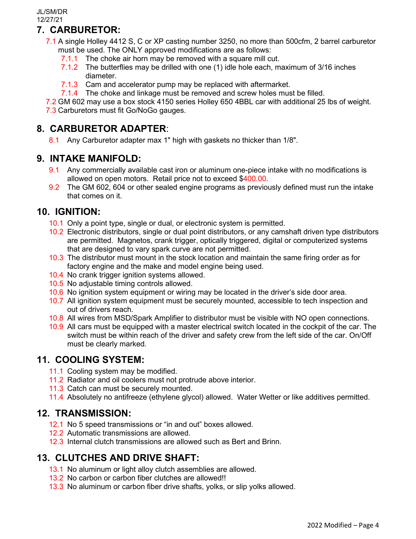## **7. CARBURETOR:**

- 7.1 A single Holley 4412 S, C or XP casting number 3250, no more than 500cfm, 2 barrel carburetor must be used. The ONLY approved modifications are as follows:
	- 7.1.1 The choke air horn may be removed with a square mill cut.
	- 7.1.2 The butterflies may be drilled with one (1) idle hole each, maximum of 3/16 inches diameter.
	- 7.1.3 Cam and accelerator pump may be replaced with aftermarket.
	- 7.1.4 The choke and linkage must be removed and screw holes must be filled.

7.2 GM 602 may use a box stock 4150 series Holley 650 4BBL car with additional 25 lbs of weight. 7.3 Carburetors must fit Go/NoGo gauges.

## **8. CARBURETOR ADAPTER**:

8.1 Any Carburetor adapter max 1" high with gaskets no thicker than 1/8".

## **9. INTAKE MANIFOLD:**

- 9.1 Any commercially available cast iron or aluminum one-piece intake with no modifications is allowed on open motors. Retail price not to exceed \$400.00.
- 9.2 The GM 602, 604 or other sealed engine programs as previously defined must run the intake that comes on it.

## **10. IGNITION:**

- 10.1 Only a point type, single or dual, or electronic system is permitted.
- 10.2 Electronic distributors, single or dual point distributors, or any camshaft driven type distributors are permitted. Magnetos, crank trigger, optically triggered, digital or computerized systems that are designed to vary spark curve are not permitted.
- 10.3 The distributor must mount in the stock location and maintain the same firing order as for factory engine and the make and model engine being used.
- 10.4 No crank trigger ignition systems allowed.
- 10.5 No adjustable timing controls allowed.
- 10.6 No ignition system equipment or wiring may be located in the driver's side door area.
- 10.7 All ignition system equipment must be securely mounted, accessible to tech inspection and out of drivers reach.
- 10.8 All wires from MSD/Spark Amplifier to distributor must be visible with NO open connections.
- 10.9 All cars must be equipped with a master electrical switch located in the cockpit of the car. The switch must be within reach of the driver and safety crew from the left side of the car. On/Off must be clearly marked.

## **11. COOLING SYSTEM:**

- 11.1 Cooling system may be modified.
- 11.2 Radiator and oil coolers must not protrude above interior.
- 11.3 Catch can must be securely mounted.
- 11.4 Absolutely no antifreeze (ethylene glycol) allowed. Water Wetter or like additives permitted.

## **12. TRANSMISSION:**

- 12.1 No 5 speed transmissions or "in and out" boxes allowed.
- 12.2 Automatic transmissions are allowed.
- 12.3 Internal clutch transmissions are allowed such as Bert and Brinn.

## **13. CLUTCHES AND DRIVE SHAFT:**

- 13.1 No aluminum or light alloy clutch assemblies are allowed.
- 13.2 No carbon or carbon fiber clutches are allowed!!
- 13.3 No aluminum or carbon fiber drive shafts, yolks, or slip yolks allowed.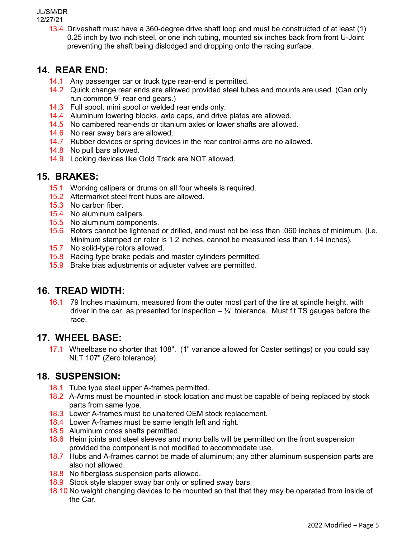13.4 Driveshaft must have a 360-degree drive shaft loop and must be constructed of at least (1) 0.25 inch by two inch steel, or one inch tubing, mounted six inches back from front U-Joint preventing the shaft being dislodged and dropping onto the racing surface.

## **14. REAR END:**

- 14.1 Any passenger car or truck type rear-end is permitted.
- 14.2 Quick change rear ends are allowed provided steel tubes and mounts are used. (Can only run common 9" rear end gears.)
- 14.3 Full spool, mini spool or welded rear ends only.
- 14.4 Aluminum lowering blocks, axle caps, and drive plates are allowed.
- 14.5 No cambered rear-ends or titanium axles or lower shafts are allowed.
- 14.6 No rear sway bars are allowed.
- 14.7 Rubber devices or spring devices in the rear control arms are no allowed.
- 14.8 No pull bars allowed.
- 14.9 Locking devices like Gold Track are NOT allowed.

## **15. BRAKES:**

- 15.1 Working calipers or drums on all four wheels is required.
- 15.2 Aftermarket steel front hubs are allowed.
- 15.3 No carbon fiber.
- 15.4 No aluminum calipers.
- 15.5 No aluminum components.
- 15.6 Rotors cannot be lightened or drilled, and must not be less than .060 inches of minimum. (i.e. Minimum stamped on rotor is 1.2 inches, cannot be measured less than 1.14 inches).
- 15.7 No solid-type rotors allowed.
- 15.8 Racing type brake pedals and master cylinders permitted.
- 15.9 Brake bias adjustments or adjuster valves are permitted.

## **16. TREAD WIDTH:**

16.1 79 Inches maximum, measured from the outer most part of the tire at spindle height, with driver in the car, as presented for inspection  $-\frac{1}{4}$ " tolerance. Must fit TS gauges before the race.

### **17. WHEEL BASE:**

17.1 Wheelbase no shorter that 108". (1" variance allowed for Caster settings) or you could say NLT 107" (Zero tolerance).

### **18. SUSPENSION:**

- 18.1 Tube type steel upper A-frames permitted.
- 18.2 A-Arms must be mounted in stock location and must be capable of being replaced by stock parts from same type.
- 18.3 Lower A-frames must be unaltered OEM stock replacement.
- 18.4 Lower A-frames must be same length left and right.
- 18.5 Aluminum cross shafts permitted.
- 18.6 Heim joints and steel sleeves and mono balls will be permitted on the front suspension provided the component is not modified to accommodate use.
- 18.7 Hubs and A-frames cannot be made of aluminum; any other aluminum suspension parts are also not allowed.
- 18.8 No fiberglass suspension parts allowed.
- 18.9 Stock style slapper sway bar only or splined sway bars.
- 18.10 No weight changing devices to be mounted so that that they may be operated from inside of the Car.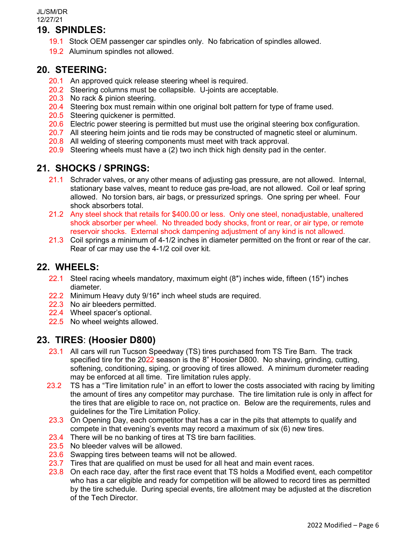## **19. SPINDLES:**

- 19.1 Stock OEM passenger car spindles only. No fabrication of spindles allowed.
- 19.2 Aluminum spindles not allowed.

#### **20. STEERING:**

- 20.1 An approved quick release steering wheel is required.
- 20.2 Steering columns must be collapsible. U-joints are acceptable.
- 20.3 No rack & pinion steering.
- 20.4 Steering box must remain within one original bolt pattern for type of frame used.
- 20.5 Steering quickener is permitted.
- 20.6 Electric power steering is permitted but must use the original steering box configuration.
- 20.7 All steering heim joints and tie rods may be constructed of magnetic steel or aluminum.
- 20.8 All welding of steering components must meet with track approval.
- 20.9 Steering wheels must have a (2) two inch thick high density pad in the center.

## **21. SHOCKS / SPRINGS:**

- 21.1 Schrader valves, or any other means of adjusting gas pressure, are not allowed. Internal, stationary base valves, meant to reduce gas pre-load, are not allowed. Coil or leaf spring allowed. No torsion bars, air bags, or pressurized springs. One spring per wheel. Four shock absorbers total.
- 21.2 Any steel shock that retails for \$400.00 or less. Only one steel, nonadjustable, unaltered shock absorber per wheel. No threaded body shocks, front or rear, or air type, or remote reservoir shocks. External shock dampening adjustment of any kind is not allowed.
- 21.3 Coil springs a minimum of 4-1/2 inches in diameter permitted on the front or rear of the car. Rear of car may use the 4-1/2 coil over kit.

### **22. WHEELS:**

- 22.1 Steel racing wheels mandatory, maximum eight (8″) inches wide, fifteen (15″) inches diameter.
- 22.2 Minimum Heavy duty 9/16″ inch wheel studs are required.
- 22.3 No air bleeders permitted.
- 22.4 Wheel spacer's optional.
- 22.5 No wheel weights allowed.

### **23. TIRES**: **(Hoosier D800)**

- 23.1 All cars will run Tucson Speedway (TS) tires purchased from TS Tire Barn. The track specified tire for the 2022 season is the 8" Hoosier D800. No shaving, grinding, cutting, softening, conditioning, siping, or grooving of tires allowed. A minimum durometer reading may be enforced at all time. Tire limitation rules apply.
- 23.2 TS has a "Tire limitation rule" in an effort to lower the costs associated with racing by limiting the amount of tires any competitor may purchase. The tire limitation rule is only in affect for the tires that are eligible to race on, not practice on. Below are the requirements, rules and guidelines for the Tire Limitation Policy.
- 23.3 On Opening Day, each competitor that has a car in the pits that attempts to qualify and compete in that evening's events may record a maximum of six (6) new tires.
- 23.4 There will be no banking of tires at TS tire barn facilities.
- 23.5 No bleeder valves will be allowed.
- 23.6 Swapping tires between teams will not be allowed.
- 23.7 Tires that are qualified on must be used for all heat and main event races.
- 23.8 On each race day, after the first race event that TS holds a Modified event, each competitor who has a car eligible and ready for competition will be allowed to record tires as permitted by the tire schedule. During special events, tire allotment may be adjusted at the discretion of the Tech Director.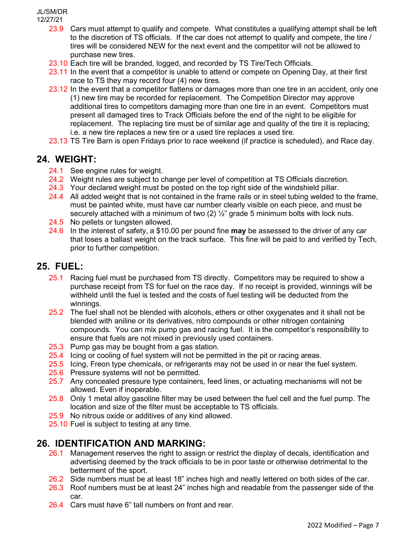- 23.9 Cars must attempt to qualify and compete. What constitutes a qualifying attempt shall be left to the discretion of TS officials. If the car does not attempt to qualify and compete, the tire / tires will be considered NEW for the next event and the competitor will not be allowed to purchase new tires.
- 23.10 Each tire will be branded, logged, and recorded by TS Tire/Tech Officials.
- 23.11 In the event that a competitor is unable to attend or compete on Opening Day, at their first race to TS they may record four (4) new tires.
- 23.12 In the event that a competitor flattens or damages more than one tire in an accident, only one (1) new tire may be recorded for replacement. The Competition Director may approve additional tires to competitors damaging more than one tire in an event. Competitors must present all damaged tires to Track Officials before the end of the night to be eligible for replacement. The replacing tire must be of similar age and quality of the tire it is replacing; i.e. a new tire replaces a new tire or a used tire replaces a used tire.
- 23.13 TS Tire Barn is open Fridays prior to race weekend (if practice is scheduled), and Race day.

### **24. WEIGHT:**

- 24.1 See engine rules for weight.
- 24.2 Weight rules are subject to change per level of competition at TS Officials discretion.
- 24.3 Your declared weight must be posted on the top right side of the windshield pillar.
- 24.4 All added weight that is not contained in the frame rails or in steel tubing welded to the frame, must be painted white, must have car number clearly visible on each piece, and must be securely attached with a minimum of two  $(2)$   $\frac{1}{2}$ " grade 5 minimum bolts with lock nuts.
- 24.5 No pellets or tungsten allowed.
- 24.6 In the interest of safety, a \$10.00 per pound fine **may** be assessed to the driver of any car that loses a ballast weight on the track surface. This fine will be paid to and verified by Tech, prior to further competition.

### **25. FUEL:**

- 25.1 Racing fuel must be purchased from TS directly. Competitors may be required to show a purchase receipt from TS for fuel on the race day. If no receipt is provided, winnings will be withheld until the fuel is tested and the costs of fuel testing will be deducted from the winnings.
- 25.2 The fuel shall not be blended with alcohols, ethers or other oxygenates and it shall not be blended with aniline or its derivatives, nitro compounds or other nitrogen containing compounds. You can mix pump gas and racing fuel. It is the competitor's responsibility to ensure that fuels are not mixed in previously used containers.
- 25.3 Pump gas may be bought from a gas station.
- 25.4 Icing or cooling of fuel system will not be permitted in the pit or racing areas.
- 25.5 Icing, Freon type chemicals, or refrigerants may not be used in or near the fuel system.
- 25.6 Pressure systems will not be permitted.
- 25.7 Any concealed pressure type containers, feed lines, or actuating mechanisms will not be allowed. Even if inoperable.
- 25.8 Only 1 metal alloy gasoline filter may be used between the fuel cell and the fuel pump. The location and size of the filter must be acceptable to TS officials.
- 25.9 No nitrous oxide or additives of any kind allowed.
- 25.10 Fuel is subject to testing at any time.

### **26. IDENTIFICATION AND MARKING:**

- 26.1 Management reserves the right to assign or restrict the display of decals, identification and advertising deemed by the track officials to be in poor taste or otherwise detrimental to the betterment of the sport.
- 26.2 Side numbers must be at least 18" inches high and neatly lettered on both sides of the car.
- 26.3 Roof numbers must be at least 24" inches high and readable from the passenger side of the car.
- 26.4 Cars must have 6" tall numbers on front and rear.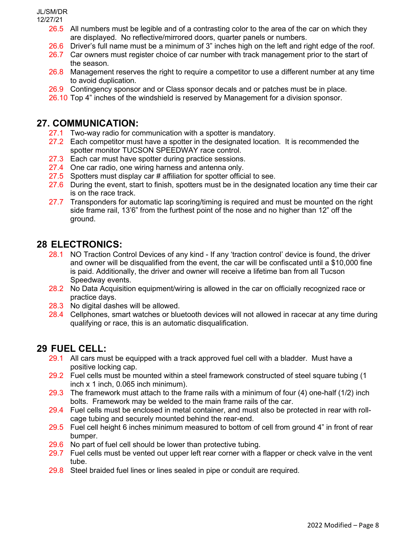- 26.5 All numbers must be legible and of a contrasting color to the area of the car on which they are displayed. No reflective/mirrored doors, quarter panels or numbers.
- 26.6 Driver's full name must be a minimum of 3" inches high on the left and right edge of the roof.
- 26.7 Car owners must register choice of car number with track management prior to the start of the season.
- 26.8 Management reserves the right to require a competitor to use a different number at any time to avoid duplication.
- 26.9 Contingency sponsor and or Class sponsor decals and or patches must be in place.
- 26.10 Top 4" inches of the windshield is reserved by Management for a division sponsor.

## **27. COMMUNICATION:**

- 27.1 Two-way radio for communication with a spotter is mandatory.
- 27.2 Each competitor must have a spotter in the designated location. It is recommended the spotter monitor TUCSON SPEEDWAY race control.
- 27.3 Each car must have spotter during practice sessions.
- 27.4 One car radio, one wiring harness and antenna only.
- 27.5 Spotters must display car # affiliation for spotter official to see.
- 27.6 During the event, start to finish, spotters must be in the designated location any time their car is on the race track.
- 27.7 Transponders for automatic lap scoring/timing is required and must be mounted on the right side frame rail, 13'6" from the furthest point of the nose and no higher than 12" off the ground.

## **28 ELECTRONICS:**

- 28.1 NO Traction Control Devices of any kind If any 'traction control' device is found, the driver and owner will be disqualified from the event, the car will be confiscated until a \$10,000 fine is paid. Additionally, the driver and owner will receive a lifetime ban from all Tucson Speedway events.
- 28.2 No Data Acquisition equipment/wiring is allowed in the car on officially recognized race or practice days.
- 28.3 No digital dashes will be allowed.
- 28.4 Cellphones, smart watches or bluetooth devices will not allowed in racecar at any time during qualifying or race, this is an automatic disqualification.

## **29 FUEL CELL:**

- 29.1 All cars must be equipped with a track approved fuel cell with a bladder. Must have a positive locking cap.
- 29.2 Fuel cells must be mounted within a steel framework constructed of steel square tubing (1 inch x 1 inch, 0.065 inch minimum).
- 29.3 The framework must attach to the frame rails with a minimum of four  $(4)$  one-half  $(1/2)$  inch bolts. Framework may be welded to the main frame rails of the car.
- 29.4 Fuel cells must be enclosed in metal container, and must also be protected in rear with rollcage tubing and securely mounted behind the rear-end.
- 29.5 Fuel cell height 6 inches minimum measured to bottom of cell from ground 4" in front of rear bumper.
- 29.6 No part of fuel cell should be lower than protective tubing.
- 29.7 Fuel cells must be vented out upper left rear corner with a flapper or check valve in the vent tube.
- 29.8 Steel braided fuel lines or lines sealed in pipe or conduit are required.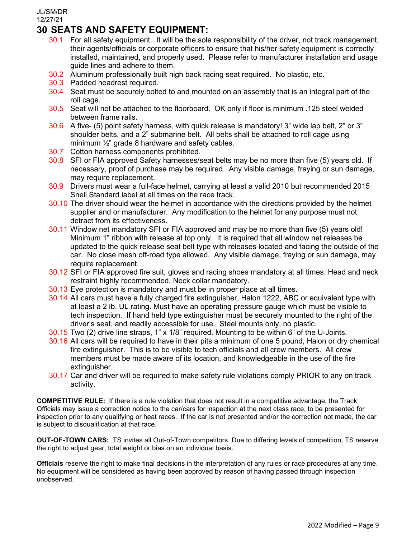## **30 SEATS AND SAFETY EQUIPMENT:**

- 30.1 For all safety equipment. It will be the sole responsibility of the driver, not track management, their agents/officials or corporate officers to ensure that his/her safety equipment is correctly installed, maintained, and properly used. Please refer to manufacturer installation and usage guide lines and adhere to them.
- 30.2 Aluminum professionally built high back racing seat required. No plastic, etc.
- 30.3 Padded headrest required.
- 30.4 Seat must be securely bolted to and mounted on an assembly that is an integral part of the roll cage.
- 30.5 Seat will not be attached to the floorboard. OK only if floor is minimum .125 steel welded between frame rails.
- 30.6 A five- (5) point safety harness, with quick release is mandatory! 3" wide lap belt, 2" or 3" shoulder belts, and a 2" submarine belt. All belts shall be attached to roll cage using minimum  $\frac{1}{2}$ " grade 8 hardware and safety cables.
- 30.7 Cotton harness components prohibited.
- 30.8 SFI or FIA approved Safety harnesses/seat belts may be no more than five (5) years old. If necessary, proof of purchase may be required. Any visible damage, fraying or sun damage, may require replacement.
- 30.9 Drivers must wear a full-face helmet, carrying at least a valid 2010 but recommended 2015 Snell Standard label at all times on the race track.
- 30.10 The driver should wear the helmet in accordance with the directions provided by the helmet supplier and or manufacturer. Any modification to the helmet for any purpose must not detract from its effectiveness.
- 30.11 Window net mandatory SFI or FIA approved and may be no more than five (5) years old! Minimum 1" ribbon with release at top only. It is required that all window net releases be updated to the quick release seat belt type with releases located and facing the outside of the car. No close mesh off-road type allowed. Any visible damage, fraying or sun damage, may require replacement.
- 30.12 SFI or FIA approved fire suit, gloves and racing shoes mandatory at all times. Head and neck restraint highly recommended. Neck collar mandatory.
- 30.13 Eye protection is mandatory and must be in proper place at all times.
- 30.14 All cars must have a fully charged fire extinguisher, Halon 1222, ABC or equivalent type with at least a 2 lb. UL rating. Must have an operating pressure gauge which must be visible to tech inspection. If hand held type extinguisher must be securely mounted to the right of the driver's seat, and readily accessible for use. Steel mounts only, no plastic.
- 30.15 Two (2) drive line straps, 1" x 1/8" required. Mounting to be within 6" of the U-Joints.
- 30.16 All cars will be required to have in their pits a minimum of one 5 pound, Halon or dry chemical fire extinguisher. This is to be visible to tech officials and all crew members. All crew members must be made aware of its location, and knowledgeable in the use of the fire extinguisher.
- 30.17 Car and driver will be required to make safety rule violations comply PRIOR to any on track activity.

**COMPETITIVE RULE:** If there is a rule violation that does not result in a competitive advantage, the Track Officials may issue a correction notice to the car/cars for inspection at the next class race, to be presented for inspection prior to any qualifying or heat races. If the car is not presented and/or the correction not made, the car is subject to disqualification at that race.

**OUT-OF-TOWN CARS:** TS invites all Out-of-Town competitors. Due to differing levels of competition, TS reserve the right to adjust gear, total weight or bias on an individual basis.

**Officials** reserve the right to make final decisions in the interpretation of any rules or race procedures at any time. No equipment will be considered as having been approved by reason of having passed through inspection unobserved.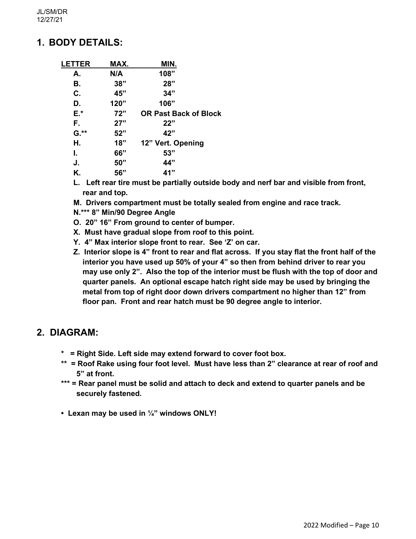## **1. BODY DETAILS:**

| <b>LETTER</b> | MAX. | MIN.                         |
|---------------|------|------------------------------|
| А.            | N/A  | 108"                         |
| В.            | 38"  | 28"                          |
| C.            | 45"  | 34"                          |
| D.            | 120" | 106"                         |
| E.*           | 72"  | <b>OR Past Back of Block</b> |
| F.            | 27"  | 22"                          |
| $G.*$         | 52"  | 42"                          |
| Η.            | 18"  | 12" Vert. Opening            |
| L.            | 66"  | 53"                          |
| J.            | 50"  | 44"                          |
| Κ.            | 56"  | 41"                          |
|               |      |                              |

- **L. Left rear tire must be partially outside body and nerf bar and visible from front, rear and top.**
- **M. Drivers compartment must be totally sealed from engine and race track.**
- **N.\*\*\* 8" Min/90 Degree Angle**
- **O. 20" 16" From ground to center of bumper.**
- **X. Must have gradual slope from roof to this point.**
- **Y. 4" Max interior slope front to rear. See 'Z' on car.**
- **Z. Interior slope is 4" front to rear and flat across. If you stay flat the front half of the interior you have used up 50% of your 4" so then from behind driver to rear you may use only 2". Also the top of the interior must be flush with the top of door and quarter panels. An optional escape hatch right side may be used by bringing the metal from top of right door down drivers compartment no higher than 12" from floor pan. Front and rear hatch must be 90 degree angle to interior.**

### **2. DIAGRAM:**

- **\* = Right Side. Left side may extend forward to cover foot box.**
- **\*\* = Roof Rake using four foot level. Must have less than 2" clearance at rear of roof and 5" at front.**
- **\*\*\* = Rear panel must be solid and attach to deck and extend to quarter panels and be securely fastened.**
- **Lexan may be used in ¼" windows ONLY!**